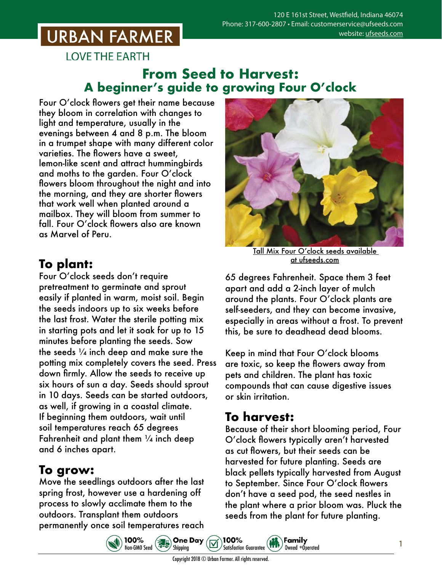# **URBAN FARMER**

**LOVE THE EARTH** 

#### **From Seed to Harvest: A beginner's guide to growing Four O'clock**

Four O'clock flowers get their name because they bloom in correlation with changes to light and temperature, usually in the evenings between 4 and 8 p.m. The bloom in a trumpet shape with many different color varieties. The flowers have a sweet, lemon-like scent and attract hummingbirds and moths to the garden. Four O'clock flowers bloom throughout the night and into the morning, and they are shorter flowers that work well when planted around a mailbox. They will bloom from summer to fall. Four O'clock flowers also are known as Marvel of Peru.

### **To plant:**

Four O'clock seeds don't require pretreatment to germinate and sprout easily if planted in warm, moist soil. Begin the seeds indoors up to six weeks before the last frost. Water the sterile potting mix in starting pots and let it soak for up to 15 minutes before planting the seeds. Sow the seeds  $\frac{1}{4}$  inch deep and make sure the potting mix completely covers the seed. Press down firmly. Allow the seeds to receive up six hours of sun a day. Seeds should sprout in 10 days. Seeds can be started outdoors, as well, if growing in a coastal climate. If beginning them outdoors, wait until soil temperatures reach 65 degrees Fahrenheit and plant them  $\frac{1}{4}$  inch deep and 6 inches apart.

#### **To grow:**

Move the seedlings outdoors after the last spring frost, however use a hardening off process to slowly acclimate them to the outdoors. Transplant them outdoors permanently once soil temperatures reach

100%

Non-GMO Seed



Tall Mix Four O'clock seeds [available](https://www.ufseeds.com/product-category/flowers/mirabilis/)  [at ufseeds.com](https://www.ufseeds.com/product-category/flowers/mirabilis/)

65 degrees Fahrenheit. Space them 3 feet apart and add a 2-inch layer of mulch around the plants. Four O'clock plants are self-seeders, and they can become invasive, especially in areas without a frost. To prevent this, be sure to deadhead dead blooms.

Keep in mind that Four O'clock blooms are toxic, so keep the flowers away from pets and children. The plant has toxic compounds that can cause digestive issues or skin irritation.

## **To harvest:**

Because of their short blooming period, Four O'clock flowers typically aren't harvested as cut flowers, but their seeds can be harvested for future planting. Seeds are black pellets typically harvested from August to September. Since Four O'clock flowers don't have a seed pod, the seed nestles in the plant where a prior bloom was. Pluck the seeds from the plant for future planting.

Family

Owned +Operated



100%

**Satisfaction Guarantee** 

**Sales One Day**